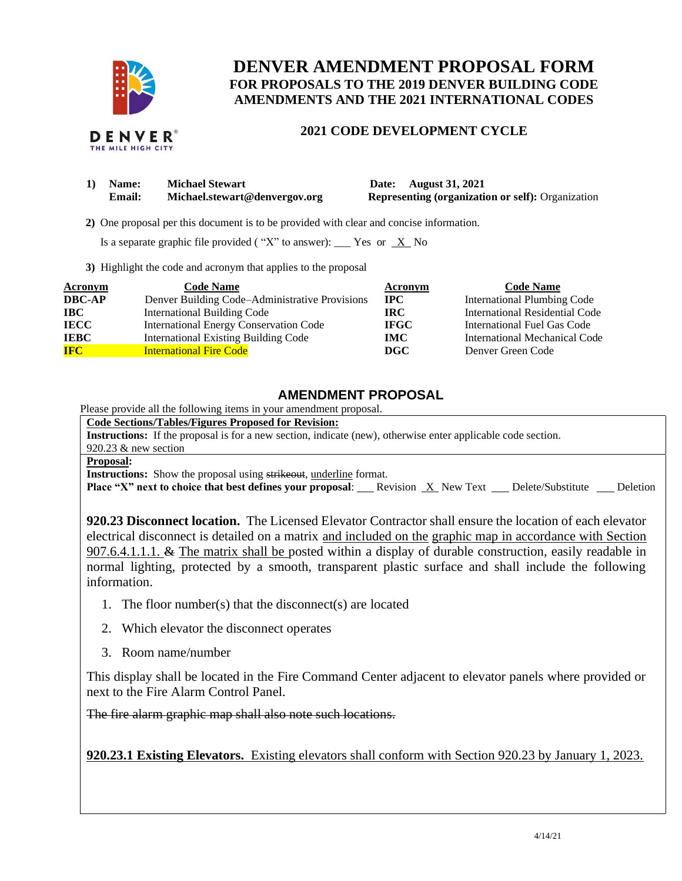

# **DENVER AMENDMENT PROPOSAL FORM FOR PROPOSALS TO THE 2019 DENVER BUILDING CODE AMENDMENTS AND THE 2021 INTERNATIONAL CODES**

### DENVER THE MILE HIGH CITY

## **2021 CODE DEVELOPMENT CYCLE**

| 1) | <b>Name:</b> | <b>Michael Stewart</b>        |  |
|----|--------------|-------------------------------|--|
|    | Email:       | Michael.stewart@denvergov.org |  |

**1) Date: August 31, 2021 Representing (organization or self):** Organization

 **2)** One proposal per this document is to be provided with clear and concise information.

Is a separate graphic file provided ("X" to answer): \_\_\_ Yes or  $X$  No

**3)** Highlight the code and acronym that applies to the proposal

| Acronym       | <b>Code Name</b>                               | Acronym     | <b>Code Name</b>                   |
|---------------|------------------------------------------------|-------------|------------------------------------|
| <b>DBC-AP</b> | Denver Building Code–Administrative Provisions | $\bf IPC$   | <b>International Plumbing Code</b> |
| <b>IBC</b>    | <b>International Building Code</b>             | <b>IRC</b>  | International Residential Code     |
| <b>IECC</b>   | International Energy Conservation Code         | <b>IFGC</b> | International Fuel Gas Code        |
| <b>IEBC</b>   | <b>International Existing Building Code</b>    | <b>IMC</b>  | International Mechanical Code      |
| <b>IFC</b>    | <b>International Fire Code</b>                 | DGC         | Denver Green Code                  |

# **AMENDMENT PROPOSAL**

Please provide all the following items in your amendment proposal.

**Code Sections/Tables/Figures Proposed for Revision:**

**Instructions:** If the proposal is for a new section, indicate (new), otherwise enter applicable code section.

920.23 & new section

### **Proposal:**

**Instructions:** Show the proposal using strikeout, underline format.

**Place "X" next to choice that best defines your proposal:** Revision X New Text Delete/Substitute Deletion

**920.23 Disconnect location.** The Licensed Elevator Contractor shall ensure the location of each elevator electrical disconnect is detailed on a matrix and included on the graphic map in accordance with Section 907.6.4.1.1.1. & The matrix shall be posted within a display of durable construction, easily readable in normal lighting, protected by a smooth, transparent plastic surface and shall include the following information.

- 1. The floor number(s) that the disconnect(s) are located
- 2. Which elevator the disconnect operates
- 3. Room name/number

This display shall be located in the Fire Command Center adjacent to elevator panels where provided or next to the Fire Alarm Control Panel.

The fire alarm graphic map shall also note such locations.

**920.23.1 Existing Elevators.** Existing elevators shall conform with Section 920.23 by January 1, 2023.